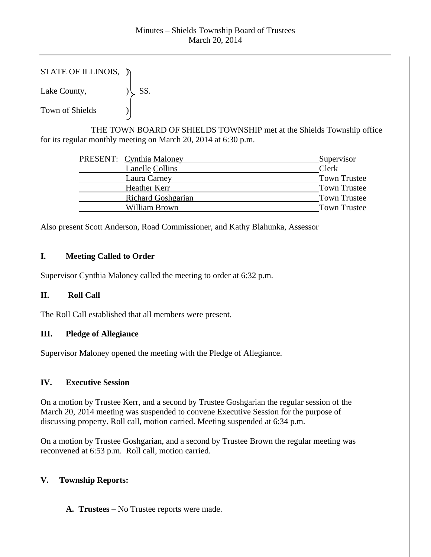| STATE OF ILLINOIS, $\n  \n$ |     |
|-----------------------------|-----|
| Lake County,                | SS. |
| <b>Town of Shields</b>      |     |

 THE TOWN BOARD OF SHIELDS TOWNSHIP met at the Shields Township office for its regular monthly meeting on March 20, 2014 at 6:30 p.m.

|                           | Supervisor               |
|---------------------------|--------------------------|
| Lanelle Collins           | Clerk                    |
| Laura Carney              | <b>Town Trustee</b>      |
| Heather Kerr              | <b>Town Trustee</b>      |
| <b>Richard Goshgarian</b> | <b>Town Trustee</b>      |
| William Brown             | <b>Town Trustee</b>      |
|                           | PRESENT: Cynthia Maloney |

Also present Scott Anderson, Road Commissioner, and Kathy Blahunka, Assessor

## **I. Meeting Called to Order**

Supervisor Cynthia Maloney called the meeting to order at 6:32 p.m.

# **II. Roll Call**

The Roll Call established that all members were present.

## **III. Pledge of Allegiance**

Supervisor Maloney opened the meeting with the Pledge of Allegiance.

## **IV. Executive Session**

On a motion by Trustee Kerr, and a second by Trustee Goshgarian the regular session of the March 20, 2014 meeting was suspended to convene Executive Session for the purpose of discussing property. Roll call, motion carried. Meeting suspended at 6:34 p.m.

On a motion by Trustee Goshgarian, and a second by Trustee Brown the regular meeting was reconvened at 6:53 p.m. Roll call, motion carried.

# **V. Township Reports:**

**A. Trustees** – No Trustee reports were made.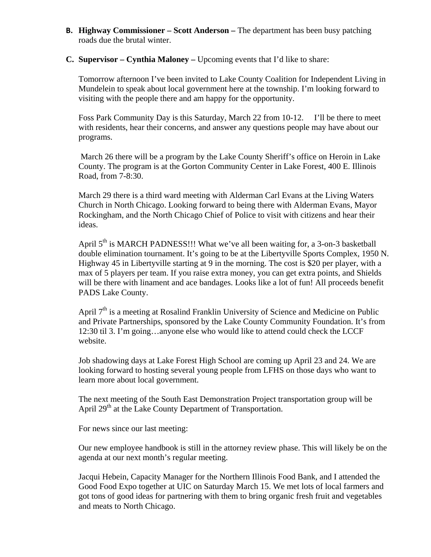- **B. Highway Commissioner Scott Anderson** The department has been busy patching roads due the brutal winter.
- **C. Supervisor Cynthia Maloney** Upcoming events that I'd like to share:

Tomorrow afternoon I've been invited to Lake County Coalition for Independent Living in Mundelein to speak about local government here at the township. I'm looking forward to visiting with the people there and am happy for the opportunity.

Foss Park Community Day is this Saturday, March 22 from 10-12. I'll be there to meet with residents, hear their concerns, and answer any questions people may have about our programs.

 March 26 there will be a program by the Lake County Sheriff's office on Heroin in Lake County. The program is at the Gorton Community Center in Lake Forest, 400 E. Illinois Road, from 7-8:30.

March 29 there is a third ward meeting with Alderman Carl Evans at the Living Waters Church in North Chicago. Looking forward to being there with Alderman Evans, Mayor Rockingham, and the North Chicago Chief of Police to visit with citizens and hear their ideas.

April 5<sup>th</sup> is MARCH PADNESS!!! What we've all been waiting for, a 3-on-3 basketball double elimination tournament. It's going to be at the Libertyville Sports Complex, 1950 N. Highway 45 in Libertyville starting at 9 in the morning. The cost is \$20 per player, with a max of 5 players per team. If you raise extra money, you can get extra points, and Shields will be there with linament and ace bandages. Looks like a lot of fun! All proceeds benefit PADS Lake County.

April  $7<sup>th</sup>$  is a meeting at Rosalind Franklin University of Science and Medicine on Public and Private Partnerships, sponsored by the Lake County Community Foundation. It's from 12:30 til 3. I'm going…anyone else who would like to attend could check the LCCF website.

Job shadowing days at Lake Forest High School are coming up April 23 and 24. We are looking forward to hosting several young people from LFHS on those days who want to learn more about local government.

The next meeting of the South East Demonstration Project transportation group will be April 29<sup>th</sup> at the Lake County Department of Transportation.

For news since our last meeting:

Our new employee handbook is still in the attorney review phase. This will likely be on the agenda at our next month's regular meeting.

Jacqui Hebein, Capacity Manager for the Northern Illinois Food Bank, and I attended the Good Food Expo together at UIC on Saturday March 15. We met lots of local farmers and got tons of good ideas for partnering with them to bring organic fresh fruit and vegetables and meats to North Chicago.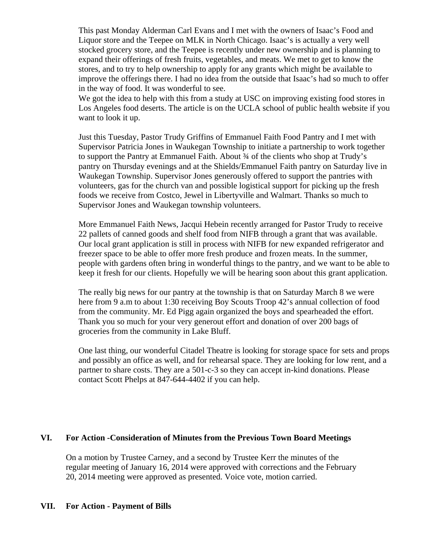This past Monday Alderman Carl Evans and I met with the owners of Isaac's Food and Liquor store and the Teepee on MLK in North Chicago. Isaac's is actually a very well stocked grocery store, and the Teepee is recently under new ownership and is planning to expand their offerings of fresh fruits, vegetables, and meats. We met to get to know the stores, and to try to help ownership to apply for any grants which might be available to improve the offerings there. I had no idea from the outside that Isaac's had so much to offer in the way of food. It was wonderful to see.

We got the idea to help with this from a study at USC on improving existing food stores in Los Angeles food deserts. The article is on the UCLA school of public health website if you want to look it up.

Just this Tuesday, Pastor Trudy Griffins of Emmanuel Faith Food Pantry and I met with Supervisor Patricia Jones in Waukegan Township to initiate a partnership to work together to support the Pantry at Emmanuel Faith. About ¾ of the clients who shop at Trudy's pantry on Thursday evenings and at the Shields/Emmanuel Faith pantry on Saturday live in Waukegan Township. Supervisor Jones generously offered to support the pantries with volunteers, gas for the church van and possible logistical support for picking up the fresh foods we receive from Costco, Jewel in Libertyville and Walmart. Thanks so much to Supervisor Jones and Waukegan township volunteers.

More Emmanuel Faith News, Jacqui Hebein recently arranged for Pastor Trudy to receive 22 pallets of canned goods and shelf food from NIFB through a grant that was available. Our local grant application is still in process with NIFB for new expanded refrigerator and freezer space to be able to offer more fresh produce and frozen meats. In the summer, people with gardens often bring in wonderful things to the pantry, and we want to be able to keep it fresh for our clients. Hopefully we will be hearing soon about this grant application.

The really big news for our pantry at the township is that on Saturday March 8 we were here from 9 a.m to about 1:30 receiving Boy Scouts Troop 42's annual collection of food from the community. Mr. Ed Pigg again organized the boys and spearheaded the effort. Thank you so much for your very generout effort and donation of over 200 bags of groceries from the community in Lake Bluff.

One last thing, our wonderful Citadel Theatre is looking for storage space for sets and props and possibly an office as well, and for rehearsal space. They are looking for low rent, and a partner to share costs. They are a 501-c-3 so they can accept in-kind donations. Please contact Scott Phelps at 847-644-4402 if you can help.

#### **VI. For Action -Consideration of Minutes from the Previous Town Board Meetings**

On a motion by Trustee Carney, and a second by Trustee Kerr the minutes of the regular meeting of January 16, 2014 were approved with corrections and the February 20, 2014 meeting were approved as presented. Voice vote, motion carried.

#### **VII. For Action - Payment of Bills**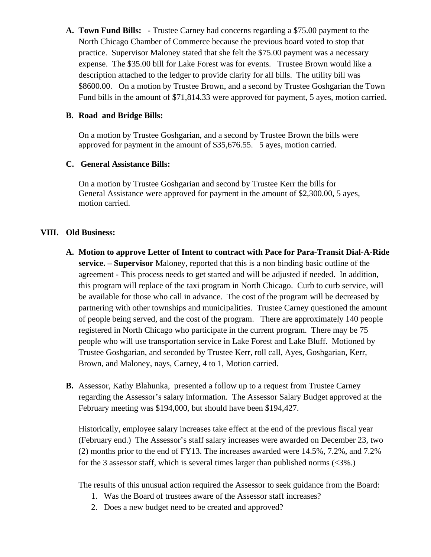**A. Town Fund Bills:** - Trustee Carney had concerns regarding a \$75.00 payment to the North Chicago Chamber of Commerce because the previous board voted to stop that practice. Supervisor Maloney stated that she felt the \$75.00 payment was a necessary expense. The \$35.00 bill for Lake Forest was for events. Trustee Brown would like a description attached to the ledger to provide clarity for all bills. The utility bill was \$8600.00. On a motion by Trustee Brown, and a second by Trustee Goshgarian the Town Fund bills in the amount of \$71,814.33 were approved for payment, 5 ayes, motion carried.

#### **B. Road and Bridge Bills:**

On a motion by Trustee Goshgarian, and a second by Trustee Brown the bills were approved for payment in the amount of \$35,676.55. 5 ayes, motion carried.

#### **C. General Assistance Bills:**

On a motion by Trustee Goshgarian and second by Trustee Kerr the bills for General Assistance were approved for payment in the amount of \$2,300.00, 5 ayes, motion carried.

#### **VIII. Old Business:**

- **A. Motion to approve Letter of Intent to contract with Pace for Para-Transit Dial-A-Ride service. – Supervisor** Maloney, reported that this is a non binding basic outline of the agreement - This process needs to get started and will be adjusted if needed. In addition, this program will replace of the taxi program in North Chicago. Curb to curb service, will be available for those who call in advance. The cost of the program will be decreased by partnering with other townships and municipalities. Trustee Carney questioned the amount of people being served, and the cost of the program. There are approximately 140 people registered in North Chicago who participate in the current program. There may be 75 people who will use transportation service in Lake Forest and Lake Bluff. Motioned by Trustee Goshgarian, and seconded by Trustee Kerr, roll call, Ayes, Goshgarian, Kerr, Brown, and Maloney, nays, Carney, 4 to 1, Motion carried.
- **B.** Assessor, Kathy Blahunka, presented a follow up to a request from Trustee Carney regarding the Assessor's salary information. The Assessor Salary Budget approved at the February meeting was \$194,000, but should have been \$194,427.

Historically, employee salary increases take effect at the end of the previous fiscal year (February end.) The Assessor's staff salary increases were awarded on December 23, two (2) months prior to the end of FY13. The increases awarded were 14.5%, 7.2%, and 7.2% for the 3 assessor staff, which is several times larger than published norms (<3%.)

The results of this unusual action required the Assessor to seek guidance from the Board:

- 1. Was the Board of trustees aware of the Assessor staff increases?
- 2. Does a new budget need to be created and approved?